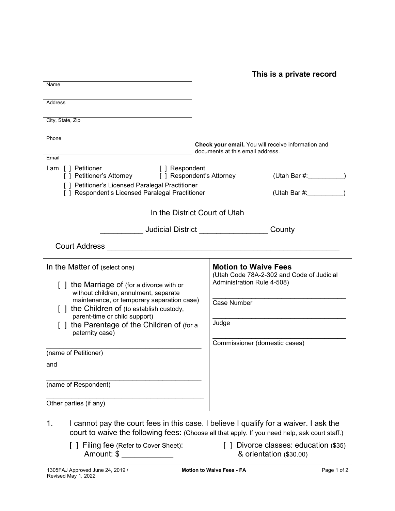**This is a private record**

| Name                                                                                                 |                                                                                        |
|------------------------------------------------------------------------------------------------------|----------------------------------------------------------------------------------------|
| Address                                                                                              |                                                                                        |
| City, State, Zip                                                                                     |                                                                                        |
| Phone                                                                                                |                                                                                        |
|                                                                                                      | Check your email. You will receive information and<br>documents at this email address. |
| Email                                                                                                |                                                                                        |
| l am [ ] Petitioner<br>[ ] Respondent<br>[] Petitioner's Attorney<br>[ ] Respondent's Attorney       | (Utah Bar #:                                                                           |
| [ ] Petitioner's Licensed Paralegal Practitioner<br>[ ] Respondent's Licensed Paralegal Practitioner | (Utah Bar #:                                                                           |
| In the District Court of Utah                                                                        |                                                                                        |
| __________ Judicial District _____________                                                           | County                                                                                 |
| <b>Court Address</b>                                                                                 |                                                                                        |
| In the Matter of (select one)                                                                        | <b>Motion to Waive Fees</b>                                                            |
| [] the Marriage of (for a divorce with or                                                            | (Utah Code 78A-2-302 and Code of Judicial<br>Administration Rule 4-508)                |
| without children, annulment, separate<br>maintenance, or temporary separation case)                  |                                                                                        |
| [] the Children of (to establish custody,<br>parent-time or child support)                           | <b>Case Number</b>                                                                     |
| [] the Parentage of the Children of (for a<br>paternity case)                                        | Judge                                                                                  |
|                                                                                                      | Commissioner (domestic cases)                                                          |
| (name of Petitioner)                                                                                 |                                                                                        |
| and                                                                                                  |                                                                                        |
|                                                                                                      |                                                                                        |
| (name of Respondent)                                                                                 |                                                                                        |
| Other parties (if any)                                                                               |                                                                                        |
|                                                                                                      |                                                                                        |

- 1. I cannot pay the court fees in this case. I believe I qualify for a waiver. I ask the court to waive the following fees: (Choose all that apply. If you need help, ask court staff.)
	- [ ] Filing fee (Refer to Cover Sheet): Amount: \$
- [ ] Divorce classes: education (\$35) & orientation (\$30.00)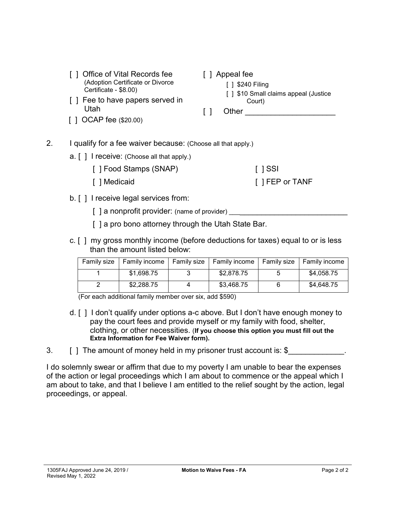- [ ] Office of Vital Records fee (Adoption Certificate or Divorce Certificate - \$8.00)
- [ ] Fee to have papers served in Utah
- [ ] OCAP fee (\$20.00)
- [ ] Appeal fee
	- [ ] \$240 Filing [ ] \$10 Small claims appeal (Justice Court)
- [ ] Other \_\_\_\_\_\_\_\_

[ ] SSI

[ ] FEP or TANF

- 2. I qualify for a fee waiver because: (Choose all that apply.)
	- a. [ ] I receive: (Choose all that apply.)
		- [ ] Food Stamps (SNAP)
		- [ ] Medicaid
	- b. [ ] I receive legal services from:
		- $\lceil$  a nonprofit provider: (name of provider)
		- [ ] a pro bono attorney through the Utah State Bar.
	- c. [ ] my gross monthly income (before deductions for taxes) equal to or is less than the amount listed below:

| Family size   Family income   Family size   Family income   Family size   Family income |            |            |
|-----------------------------------------------------------------------------------------|------------|------------|
| \$1,698.75                                                                              | \$2,878.75 | \$4,058.75 |
| \$2,288.75                                                                              | \$3,468.75 | \$4,648.75 |

(For each additional family member over six, add \$590)

- d. [ ] I don't qualify under options a-c above. But I don't have enough money to pay the court fees and provide myself or my family with food, shelter, clothing, or other necessities. (**If you choose this option you must fill out the Extra Information for Fee Waiver form).**
- 3. [ ] The amount of money held in my prisoner trust account is: \$\_\_\_\_\_\_\_\_\_\_\_\_.

I do solemnly swear or affirm that due to my poverty I am unable to bear the expenses of the action or legal proceedings which I am about to commence or the appeal which I am about to take, and that I believe I am entitled to the relief sought by the action, legal proceedings, or appeal.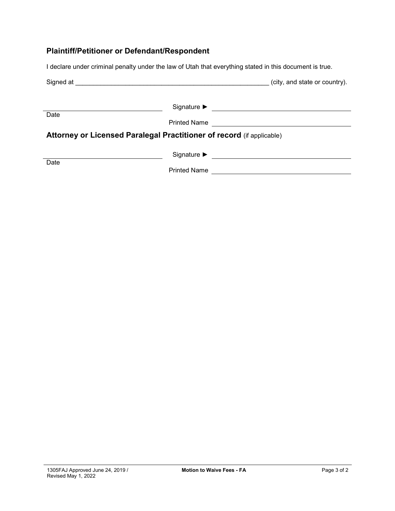# **Plaintiff/Petitioner or Defendant/Respondent**

I declare under criminal penalty under the law of Utah that everything stated in this document is true.

| Signed at <u>example and a series of the series of the series of the series of the series of the series of the series of the series of the series of the series of the series of the series of the series of the series of the s</u> |                     | (city, and state or country). |
|--------------------------------------------------------------------------------------------------------------------------------------------------------------------------------------------------------------------------------------|---------------------|-------------------------------|
| Date                                                                                                                                                                                                                                 | <b>Printed Name</b> |                               |
| Attorney or Licensed Paralegal Practitioner of record (if applicable)                                                                                                                                                                |                     |                               |
| Date                                                                                                                                                                                                                                 | <b>Printed Name</b> |                               |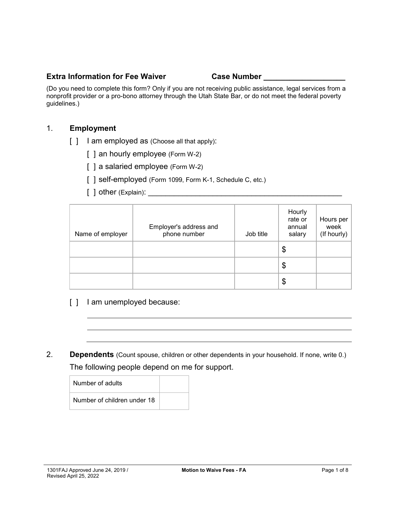#### **Extra Information for Fee Waiver Case Number Lines**

(Do you need to complete this form? Only if you are not receiving public assistance, legal services from a nonprofit provider or a pro-bono attorney through the Utah State Bar, or do not meet the federal poverty guidelines.)

#### 1. **Employment**

- [ ] I am employed as (Choose all that apply):
	- [ ] an hourly employee (Form W-2)
	- [] a salaried employee (Form W-2)
	- [ ] self-employed (Form 1099, Form K-1, Schedule C, etc.)
	- [ ] other (Explain): \_\_\_\_\_\_\_\_\_\_\_\_\_\_\_\_\_\_\_\_\_\_\_\_\_\_\_\_\_\_\_\_\_\_\_\_\_\_\_\_\_\_\_\_\_

| Name of employer | Employer's address and<br>phone number | Job title | Hourly<br>rate or<br>annual<br>salary | Hours per<br>week<br>(If hourly) |
|------------------|----------------------------------------|-----------|---------------------------------------|----------------------------------|
|                  |                                        |           | \$                                    |                                  |
|                  |                                        |           | \$                                    |                                  |
|                  |                                        |           | \$                                    |                                  |

- [ ] I am unemployed because:
- 2. **Dependents** (Count spouse, children or other dependents in your household. If none, write 0.) The following people depend on me for support.

| Number of adults            |  |
|-----------------------------|--|
| Number of children under 18 |  |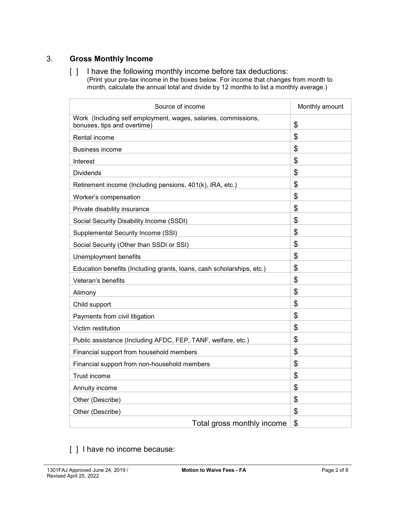# 3. **Gross Monthly Income**

[ ] I have the following monthly income before tax deductions: (Print your pre-tax income in the boxes below. For income that changes from month to

month, calculate the annual total and divide by 12 months to list a monthly average.)

| Source of income                                                                              | Monthly amount |
|-----------------------------------------------------------------------------------------------|----------------|
| Work (Including self employment, wages, salaries, commissions,<br>bonuses, tips and overtime) | \$             |
| Rental income                                                                                 | \$             |
| Business income                                                                               | \$             |
| Interest                                                                                      | \$             |
| <b>Dividends</b>                                                                              | \$             |
| Retirement income (Including pensions, 401(k), IRA, etc.)                                     | \$             |
| Worker's compensation                                                                         | \$             |
| Private disability insurance                                                                  | \$             |
| Social Security Disability Income (SSDI)                                                      | \$             |
| Supplemental Security Income (SSI)                                                            | \$             |
| Social Security (Other than SSDI or SSI)                                                      | \$             |
| Unemployment benefits                                                                         | \$             |
| Education benefits (Including grants, loans, cash scholarships, etc.)                         | \$             |
| Veteran's benefits                                                                            | \$             |
| Alimony                                                                                       | \$             |
| Child support                                                                                 | \$             |
| Payments from civil litigation                                                                | \$             |
| Victim restitution                                                                            | $\mathfrak{L}$ |
| Public assistance (Including AFDC, FEP, TANF, welfare, etc.)                                  | \$             |
| Financial support from household members                                                      | \$             |
| Financial support from non-household members                                                  | \$             |
| <b>Trust income</b>                                                                           | \$             |
| Annuity income                                                                                | \$             |
| Other (Describe)                                                                              | \$             |
| Other (Describe)                                                                              | \$             |
| Total gross monthly income                                                                    | \$             |

# [ ] I have no income because: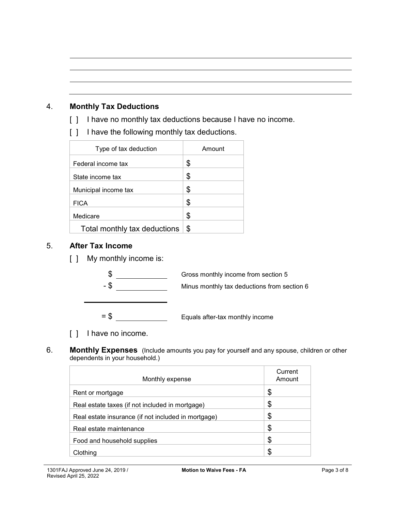# 4. **Monthly Tax Deductions**

- [ ] I have no monthly tax deductions because I have no income.
- [ ] I have the following monthly tax deductions.

| Type of tax deduction        | Amount |
|------------------------------|--------|
| Federal income tax           | \$     |
| State income tax             | \$     |
| Municipal income tax         | \$     |
| <b>FICA</b>                  | \$     |
| Medicare                     | \$     |
| Total monthly tax deductions | \$     |

## 5. **After Tax Income**

[ ] My monthly income is:



- [ ] I have no income.
- 6. **Monthly Expenses** (Include amounts you pay for yourself and any spouse, children or other dependents in your household.)

| Monthly expense                                     | Current<br>Amount |
|-----------------------------------------------------|-------------------|
| Rent or mortgage                                    | \$                |
| Real estate taxes (if not included in mortgage)     | \$                |
| Real estate insurance (if not included in mortgage) | \$                |
| Real estate maintenance                             | \$                |
| Food and household supplies                         | \$                |
| Clothing                                            | \$                |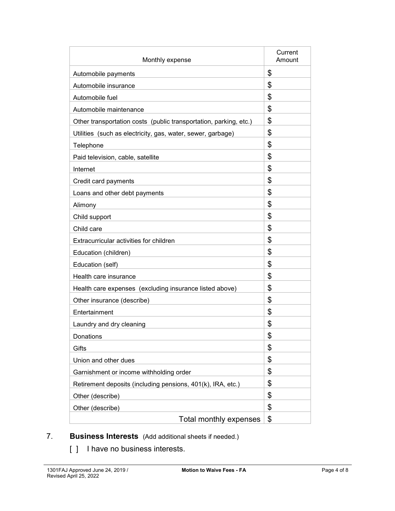| Monthly expense                                                   | Current<br>Amount |
|-------------------------------------------------------------------|-------------------|
| Automobile payments                                               | \$                |
| Automobile insurance                                              | \$                |
| Automobile fuel                                                   | \$                |
| Automobile maintenance                                            | \$                |
| Other transportation costs (public transportation, parking, etc.) | \$                |
| Utilities (such as electricity, gas, water, sewer, garbage)       | \$                |
| Telephone                                                         | \$                |
| Paid television, cable, satellite                                 | \$                |
| Internet                                                          | \$                |
| Credit card payments                                              | \$                |
| Loans and other debt payments                                     | \$                |
| Alimony                                                           | \$                |
| Child support                                                     | \$                |
| Child care                                                        | \$                |
| Extracurricular activities for children                           | \$                |
| Education (children)                                              | \$                |
| Education (self)                                                  | \$                |
| Health care insurance                                             | \$                |
| Health care expenses (excluding insurance listed above)           | \$                |
| Other insurance (describe)                                        | \$                |
| Entertainment                                                     | \$                |
| Laundry and dry cleaning                                          | \$                |
| Donations                                                         | \$                |
| Gifts                                                             | \$                |
| Union and other dues                                              | \$                |
| Garnishment or income withholding order                           | \$                |
| Retirement deposits (including pensions, 401(k), IRA, etc.)       | \$                |
| Other (describe)                                                  | \$                |
| Other (describe)                                                  | \$                |
| Total monthly expenses                                            | \$                |

- 7. **Business Interests** (Add additional sheets if needed.)
	- [ ] I have no business interests.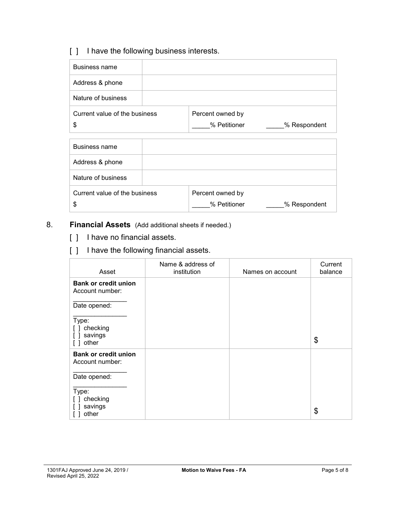# [ ] I have the following business interests.

| Business name                 |                  |              |
|-------------------------------|------------------|--------------|
| Address & phone               |                  |              |
| Nature of business            |                  |              |
| Current value of the business | Percent owned by |              |
| \$                            | % Petitioner     | % Respondent |
|                               |                  |              |

| Business name                       |                                  |              |
|-------------------------------------|----------------------------------|--------------|
| Address & phone                     |                                  |              |
| Nature of business                  |                                  |              |
| Current value of the business<br>\$ | Percent owned by<br>% Petitioner | % Respondent |

# 8. **Financial Assets** (Add additional sheets if needed.)

- [ ] I have no financial assets.
- [ ] I have the following financial assets.

| Asset                                          | Name & address of<br>institution | Names on account | Current<br>balance |
|------------------------------------------------|----------------------------------|------------------|--------------------|
| <b>Bank or credit union</b><br>Account number: |                                  |                  |                    |
| Date opened:                                   |                                  |                  |                    |
| Type:<br>checking<br>savings<br>other          |                                  |                  | \$                 |
| <b>Bank or credit union</b><br>Account number: |                                  |                  |                    |
| Date opened:                                   |                                  |                  |                    |
| Type:<br>checking<br>savings<br>other          |                                  |                  | \$                 |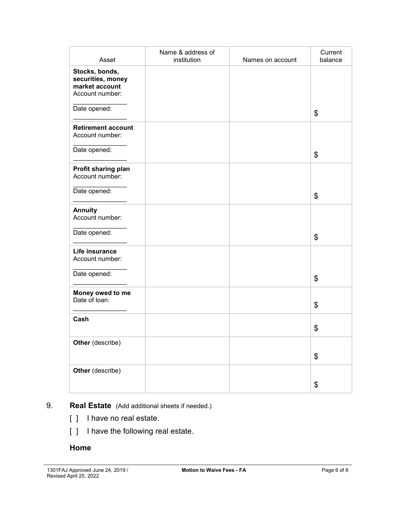| Asset                                                                    | Name & address of<br>institution | Names on account | Current<br>balance |
|--------------------------------------------------------------------------|----------------------------------|------------------|--------------------|
| Stocks, bonds,<br>securities, money<br>market account<br>Account number: |                                  |                  |                    |
| Date opened:                                                             |                                  |                  | \$                 |
| <b>Retirement account</b><br>Account number:                             |                                  |                  |                    |
| Date opened:                                                             |                                  |                  | \$                 |
| Profit sharing plan<br>Account number:                                   |                                  |                  |                    |
| Date opened:                                                             |                                  |                  | \$                 |
| <b>Annuity</b><br>Account number:                                        |                                  |                  |                    |
| Date opened:                                                             |                                  |                  | \$                 |
| Life insurance<br>Account number:                                        |                                  |                  |                    |
| Date opened:                                                             |                                  |                  | \$                 |
| Money owed to me<br>Date of loan:                                        |                                  |                  | \$                 |
| Cash                                                                     |                                  |                  | \$                 |
| Other (describe)                                                         |                                  |                  | \$                 |
| Other (describe)                                                         |                                  |                  | \$                 |

# 9. **Real Estate** (Add additional sheets if needed.)

- [ ] I have no real estate.
- [ ] I have the following real estate.

### **Home**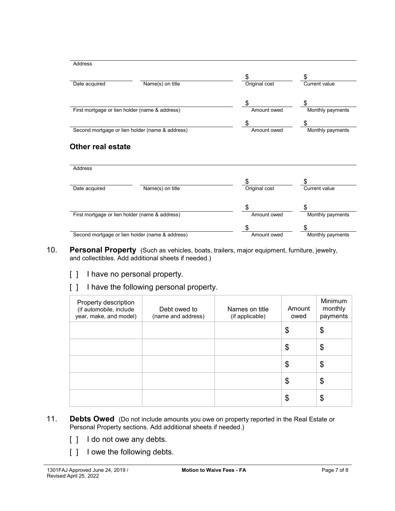| <b>Address</b>                                 |                                                 |               |                  |
|------------------------------------------------|-------------------------------------------------|---------------|------------------|
|                                                |                                                 | \$            | \$               |
| Date acquired                                  | Name(s) on title                                | Original cost | Current value    |
|                                                |                                                 | \$            | S                |
| First mortgage or lien holder (name & address) |                                                 | Amount owed   | Monthly payments |
|                                                |                                                 | \$            | S                |
|                                                | Second mortgage or lien holder (name & address) | Amount owed   | Monthly payments |
| <b>Address</b>                                 |                                                 |               |                  |
|                                                |                                                 | \$            |                  |
| Date acquired                                  |                                                 |               | \$               |
|                                                | Name(s) on title                                | Original cost | Current value    |
|                                                |                                                 | \$            |                  |
|                                                | First mortgage or lien holder (name & address)  | Amount owed   | Monthly payments |
|                                                | Second mortgage or lien holder (name & address) | \$            | S                |

- 10. **Personal Property** (Such as vehicles, boats, trailers, major equipment, furniture, jewelry, and collectibles. Add additional sheets if needed.)
	- [ ] I have no personal property.
	- [ ] I have the following personal property.

| Property description<br>(if automobile, include<br>year, make, and model) | Debt owed to<br>(name and address) | Names on title<br>(if applicable) | Amount<br>owed | Minimum<br>monthly<br>payments |
|---------------------------------------------------------------------------|------------------------------------|-----------------------------------|----------------|--------------------------------|
|                                                                           |                                    |                                   | \$             | \$                             |
|                                                                           |                                    |                                   | \$             | \$                             |
|                                                                           |                                    |                                   | \$             | \$                             |
|                                                                           |                                    |                                   | \$             | \$                             |
|                                                                           |                                    |                                   | \$             | \$                             |

- 11. **Debts Owed** (Do not include amounts you owe on property reported in the Real Estate or Personal Property sections. Add additional sheets if needed.)
	- [ ] I do not owe any debts.
	- [ ] I owe the following debts.